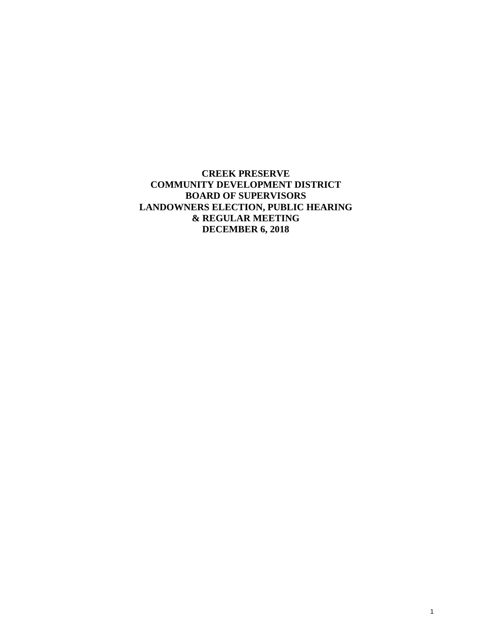**CREEK PRESERVE COMMUNITY DEVELOPMENT DISTRICT BOARD OF SUPERVISORS LANDOWNERS ELECTION, PUBLIC HEARING & REGULAR MEETING DECEMBER 6, 2018**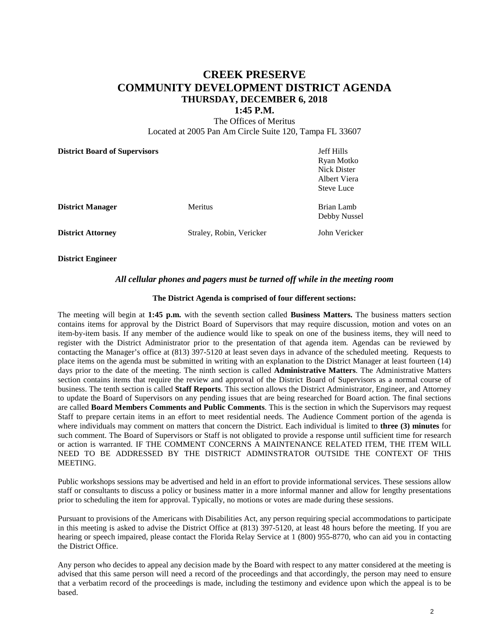# **CREEK PRESERVE COMMUNITY DEVELOPMENT DISTRICT AGENDA THURSDAY, DECEMBER 6, 2018**

#### **1:45 P.M.**

The Offices of Meritus Located at 2005 Pan Am Circle Suite 120, Tampa FL 33607

| <b>District Board of Supervisors</b> |                          | Jeff Hills<br>Ryan Motko<br>Nick Dister<br>Albert Viera<br><b>Steve Luce</b> |
|--------------------------------------|--------------------------|------------------------------------------------------------------------------|
| <b>District Manager</b>              | <b>Meritus</b>           | Brian Lamb<br>Debby Nussel                                                   |
| <b>District Attorney</b>             | Straley, Robin, Vericker | John Vericker                                                                |

**District Engineer** 

#### *All cellular phones and pagers must be turned off while in the meeting room*

#### **The District Agenda is comprised of four different sections:**

The meeting will begin at **1:45 p.m.** with the seventh section called **Business Matters.** The business matters section contains items for approval by the District Board of Supervisors that may require discussion, motion and votes on an item-by-item basis. If any member of the audience would like to speak on one of the business items, they will need to register with the District Administrator prior to the presentation of that agenda item. Agendas can be reviewed by contacting the Manager's office at (813) 397-5120 at least seven days in advance of the scheduled meeting. Requests to place items on the agenda must be submitted in writing with an explanation to the District Manager at least fourteen (14) days prior to the date of the meeting. The ninth section is called **Administrative Matters**. The Administrative Matters section contains items that require the review and approval of the District Board of Supervisors as a normal course of business. The tenth section is called **Staff Reports**. This section allows the District Administrator, Engineer, and Attorney to update the Board of Supervisors on any pending issues that are being researched for Board action. The final sections are called **Board Members Comments and Public Comments**. This is the section in which the Supervisors may request Staff to prepare certain items in an effort to meet residential needs. The Audience Comment portion of the agenda is where individuals may comment on matters that concern the District. Each individual is limited to **three (3) minutes** for such comment. The Board of Supervisors or Staff is not obligated to provide a response until sufficient time for research or action is warranted. IF THE COMMENT CONCERNS A MAINTENANCE RELATED ITEM, THE ITEM WILL NEED TO BE ADDRESSED BY THE DISTRICT ADMINSTRATOR OUTSIDE THE CONTEXT OF THIS MEETING.

Public workshops sessions may be advertised and held in an effort to provide informational services. These sessions allow staff or consultants to discuss a policy or business matter in a more informal manner and allow for lengthy presentations prior to scheduling the item for approval. Typically, no motions or votes are made during these sessions.

Pursuant to provisions of the Americans with Disabilities Act, any person requiring special accommodations to participate in this meeting is asked to advise the District Office at (813) 397-5120, at least 48 hours before the meeting. If you are hearing or speech impaired, please contact the Florida Relay Service at 1 (800) 955-8770, who can aid you in contacting the District Office.

Any person who decides to appeal any decision made by the Board with respect to any matter considered at the meeting is advised that this same person will need a record of the proceedings and that accordingly, the person may need to ensure that a verbatim record of the proceedings is made, including the testimony and evidence upon which the appeal is to be based.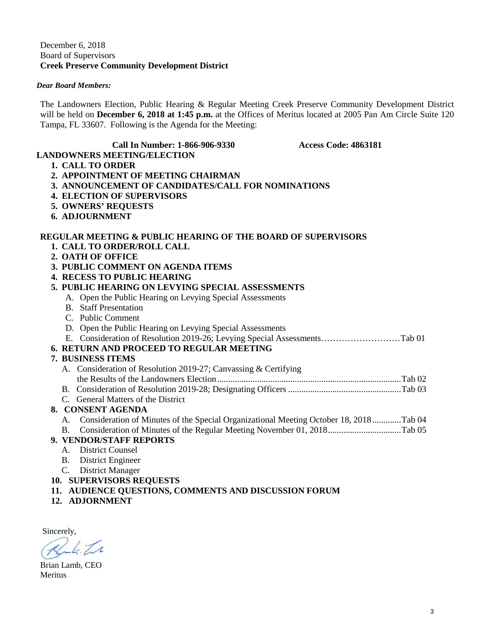## December 6, 2018 Board of Supervisors **Creek Preserve Community Development District**

## *Dear Board Members:*

The Landowners Election, Public Hearing & Regular Meeting Creek Preserve Community Development District will be held on **December 6, 2018 at 1:45 p.m.** at the Offices of Meritus located at 2005 Pan Am Circle Suite 120 Tampa, FL 33607. Following is the Agenda for the Meeting:

#### **Call In Number: 1-866-906-9330 Access Code: 4863181**

# **1. CALL TO ORDER**

- **2. APPOINTMENT OF MEETING CHAIRMAN**
- **3. ANNOUNCEMENT OF CANDIDATES/CALL FOR NOMINATIONS**
- **4. ELECTION OF SUPERVISORS**

**LANDOWNERS MEETING/ELECTION** 

- **5. OWNERS' REQUESTS**
- **6. ADJOURNMENT**

# **REGULAR MEETING & PUBLIC HEARING OF THE BOARD OF SUPERVISORS**

- **1. CALL TO ORDER/ROLL CALL**
- **2. OATH OF OFFICE**
- **3. PUBLIC COMMENT ON AGENDA ITEMS**
- **4. RECESS TO PUBLIC HEARING**

|    | 4.   RECESS TO PUBLIC HEARING                                                         |
|----|---------------------------------------------------------------------------------------|
|    | 5. PUBLIC HEARING ON LEVYING SPECIAL ASSESSMENTS                                      |
|    | A. Open the Public Hearing on Levying Special Assessments                             |
|    | <b>B.</b> Staff Presentation                                                          |
|    | C. Public Comment                                                                     |
|    | D. Open the Public Hearing on Levying Special Assessments                             |
|    | E. Consideration of Resolution 2019-26; Levying Special AssessmentsTab 01             |
|    | <b>6. RETURN AND PROCEED TO REGULAR MEETING</b>                                       |
|    | 7. BUSINESS ITEMS                                                                     |
|    | A. Consideration of Resolution 2019-27; Canvassing & Certifying                       |
|    |                                                                                       |
|    |                                                                                       |
|    | C. General Matters of the District                                                    |
|    | 8. CONSENT AGENDA                                                                     |
| А. | Consideration of Minutes of the Special Organizational Meeting October 18, 2018Tab 04 |
| B. |                                                                                       |
|    | 9. VENDOR/STAFF REPORTS                                                               |
| A. | <b>District Counsel</b>                                                               |
| B. | District Engineer                                                                     |
|    |                                                                                       |

- C. District Manager
- **10. SUPERVISORS REQUESTS**
- **11. AUDIENCE QUESTIONS, COMMENTS AND DISCUSSION FORUM**
- **12. ADJORNMENT**

Sincerely,  $6.71$ 

Brian Lamb, CEO Meritus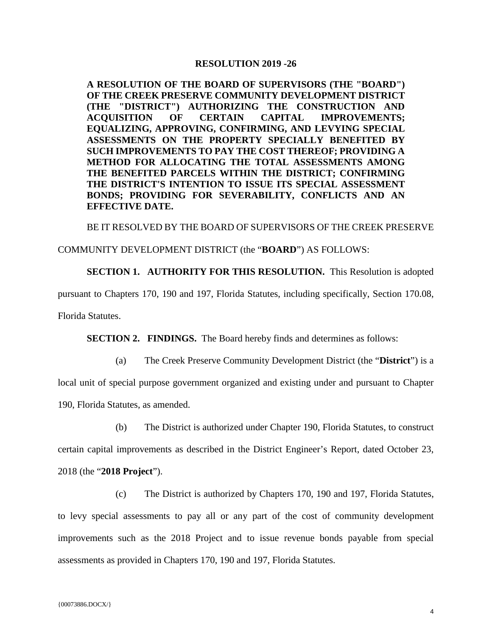#### **RESOLUTION 2019 -26**

**A RESOLUTION OF THE BOARD OF SUPERVISORS (THE "BOARD") OF THE CREEK PRESERVE COMMUNITY DEVELOPMENT DISTRICT (THE "DISTRICT") AUTHORIZING THE CONSTRUCTION AND ACQUISITION OF CERTAIN CAPITAL IMPROVEMENTS; EQUALIZING, APPROVING, CONFIRMING, AND LEVYING SPECIAL ASSESSMENTS ON THE PROPERTY SPECIALLY BENEFITED BY SUCH IMPROVEMENTS TO PAY THE COST THEREOF; PROVIDING A METHOD FOR ALLOCATING THE TOTAL ASSESSMENTS AMONG THE BENEFITED PARCELS WITHIN THE DISTRICT; CONFIRMING THE DISTRICT'S INTENTION TO ISSUE ITS SPECIAL ASSESSMENT BONDS; PROVIDING FOR SEVERABILITY, CONFLICTS AND AN EFFECTIVE DATE.**

BE IT RESOLVED BY THE BOARD OF SUPERVISORS OF THE CREEK PRESERVE

#### COMMUNITY DEVELOPMENT DISTRICT (the "**BOARD**") AS FOLLOWS:

**SECTION 1. AUTHORITY FOR THIS RESOLUTION.** This Resolution is adopted

pursuant to Chapters 170, 190 and 197, Florida Statutes, including specifically, Section 170.08,

Florida Statutes.

**SECTION 2. FINDINGS.** The Board hereby finds and determines as follows:

(a) The Creek Preserve Community Development District (the "**District**") is a

local unit of special purpose government organized and existing under and pursuant to Chapter 190, Florida Statutes, as amended.

(b) The District is authorized under Chapter 190, Florida Statutes, to construct certain capital improvements as described in the District Engineer's Report, dated October 23, 2018 (the "**2018 Project**").

(c) The District is authorized by Chapters 170, 190 and 197, Florida Statutes, to levy special assessments to pay all or any part of the cost of community development improvements such as the 2018 Project and to issue revenue bonds payable from special assessments as provided in Chapters 170, 190 and 197, Florida Statutes.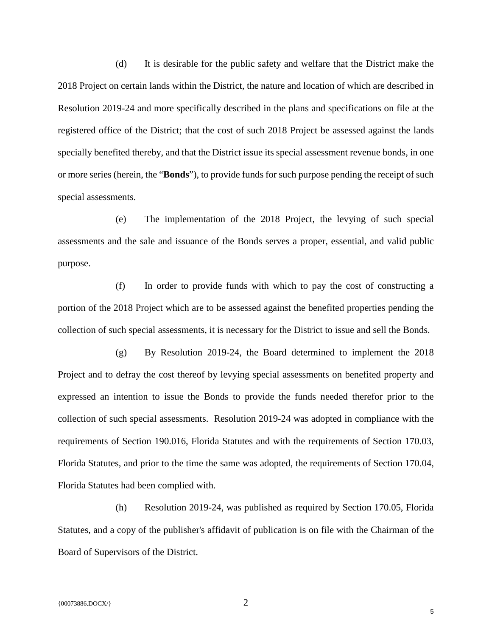(d) It is desirable for the public safety and welfare that the District make the 2018 Project on certain lands within the District, the nature and location of which are described in Resolution 2019-24 and more specifically described in the plans and specifications on file at the registered office of the District; that the cost of such 2018 Project be assessed against the lands specially benefited thereby, and that the District issue its special assessment revenue bonds, in one or more series (herein, the "**Bonds**"), to provide funds for such purpose pending the receipt of such special assessments.

(e) The implementation of the 2018 Project, the levying of such special assessments and the sale and issuance of the Bonds serves a proper, essential, and valid public purpose.

(f) In order to provide funds with which to pay the cost of constructing a portion of the 2018 Project which are to be assessed against the benefited properties pending the collection of such special assessments, it is necessary for the District to issue and sell the Bonds.

(g) By Resolution 2019-24, the Board determined to implement the 2018 Project and to defray the cost thereof by levying special assessments on benefited property and expressed an intention to issue the Bonds to provide the funds needed therefor prior to the collection of such special assessments. Resolution 2019-24 was adopted in compliance with the requirements of Section 190.016, Florida Statutes and with the requirements of Section 170.03, Florida Statutes, and prior to the time the same was adopted, the requirements of Section 170.04, Florida Statutes had been complied with.

(h) Resolution 2019-24, was published as required by Section 170.05, Florida Statutes, and a copy of the publisher's affidavit of publication is on file with the Chairman of the Board of Supervisors of the District.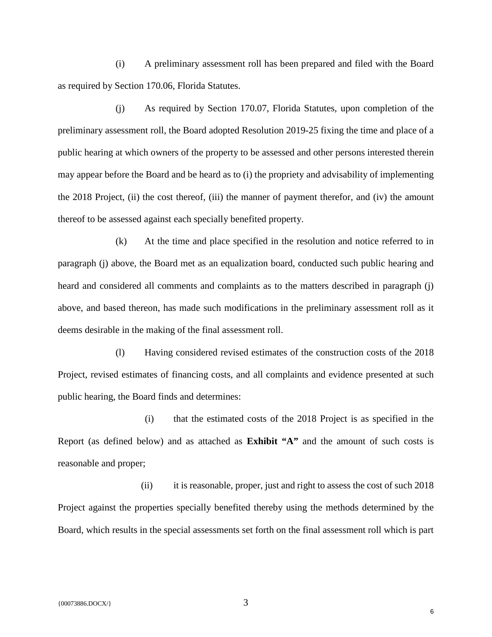(i) A preliminary assessment roll has been prepared and filed with the Board as required by Section 170.06, Florida Statutes.

(j) As required by Section 170.07, Florida Statutes, upon completion of the preliminary assessment roll, the Board adopted Resolution 2019-25 fixing the time and place of a public hearing at which owners of the property to be assessed and other persons interested therein may appear before the Board and be heard as to (i) the propriety and advisability of implementing the 2018 Project, (ii) the cost thereof, (iii) the manner of payment therefor, and (iv) the amount thereof to be assessed against each specially benefited property.

(k) At the time and place specified in the resolution and notice referred to in paragraph (j) above, the Board met as an equalization board, conducted such public hearing and heard and considered all comments and complaints as to the matters described in paragraph (j) above, and based thereon, has made such modifications in the preliminary assessment roll as it deems desirable in the making of the final assessment roll.

(l) Having considered revised estimates of the construction costs of the 2018 Project, revised estimates of financing costs, and all complaints and evidence presented at such public hearing, the Board finds and determines:

(i) that the estimated costs of the 2018 Project is as specified in the Report (as defined below) and as attached as **Exhibit "A"** and the amount of such costs is reasonable and proper;

(ii) it is reasonable, proper, just and right to assess the cost of such 2018 Project against the properties specially benefited thereby using the methods determined by the Board, which results in the special assessments set forth on the final assessment roll which is part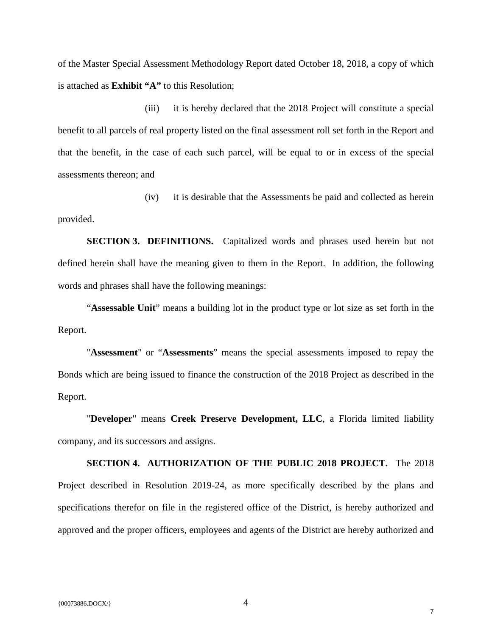of the Master Special Assessment Methodology Report dated October 18, 2018, a copy of which is attached as **Exhibit "A"** to this Resolution;

(iii) it is hereby declared that the 2018 Project will constitute a special benefit to all parcels of real property listed on the final assessment roll set forth in the Report and that the benefit, in the case of each such parcel, will be equal to or in excess of the special assessments thereon; and

(iv) it is desirable that the Assessments be paid and collected as herein provided.

**SECTION 3. DEFINITIONS.** Capitalized words and phrases used herein but not defined herein shall have the meaning given to them in the Report. In addition, the following words and phrases shall have the following meanings:

"**Assessable Unit**" means a building lot in the product type or lot size as set forth in the Report.

"**Assessment**" or "**Assessments**" means the special assessments imposed to repay the Bonds which are being issued to finance the construction of the 2018 Project as described in the Report.

"**Developer**" means **Creek Preserve Development, LLC**, a Florida limited liability company, and its successors and assigns.

**SECTION 4. AUTHORIZATION OF THE PUBLIC 2018 PROJECT.** The 2018 Project described in Resolution 2019-24, as more specifically described by the plans and specifications therefor on file in the registered office of the District, is hereby authorized and approved and the proper officers, employees and agents of the District are hereby authorized and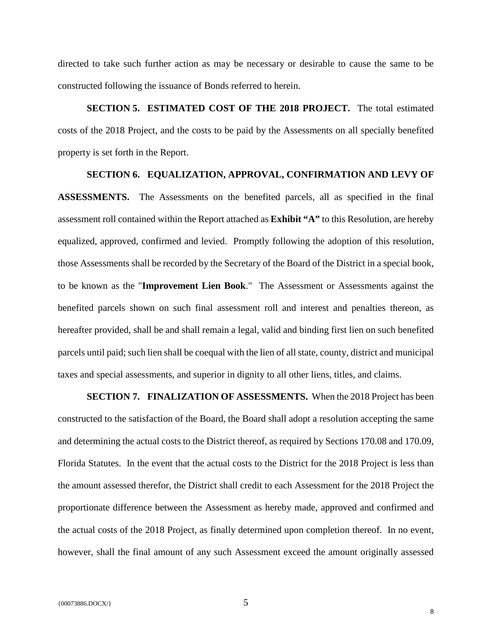directed to take such further action as may be necessary or desirable to cause the same to be constructed following the issuance of Bonds referred to herein.

**SECTION 5. ESTIMATED COST OF THE 2018 PROJECT.** The total estimated costs of the 2018 Project, and the costs to be paid by the Assessments on all specially benefited property is set forth in the Report.

## **SECTION 6. EQUALIZATION, APPROVAL, CONFIRMATION AND LEVY OF**

**ASSESSMENTS.** The Assessments on the benefited parcels, all as specified in the final assessment roll contained within the Report attached as **Exhibit "A"** to this Resolution, are hereby equalized, approved, confirmed and levied. Promptly following the adoption of this resolution, those Assessments shall be recorded by the Secretary of the Board of the District in a special book, to be known as the "**Improvement Lien Book**." The Assessment or Assessments against the benefited parcels shown on such final assessment roll and interest and penalties thereon, as hereafter provided, shall be and shall remain a legal, valid and binding first lien on such benefited parcels until paid; such lien shall be coequal with the lien of all state, county, district and municipal taxes and special assessments, and superior in dignity to all other liens, titles, and claims.

**SECTION 7. FINALIZATION OF ASSESSMENTS.** When the 2018 Project has been constructed to the satisfaction of the Board, the Board shall adopt a resolution accepting the same and determining the actual costs to the District thereof, as required by Sections 170.08 and 170.09, Florida Statutes. In the event that the actual costs to the District for the 2018 Project is less than the amount assessed therefor, the District shall credit to each Assessment for the 2018 Project the proportionate difference between the Assessment as hereby made, approved and confirmed and the actual costs of the 2018 Project, as finally determined upon completion thereof. In no event, however, shall the final amount of any such Assessment exceed the amount originally assessed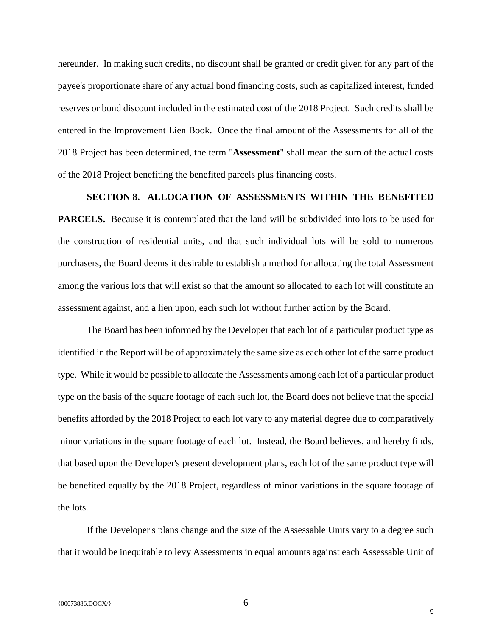hereunder. In making such credits, no discount shall be granted or credit given for any part of the payee's proportionate share of any actual bond financing costs, such as capitalized interest, funded reserves or bond discount included in the estimated cost of the 2018 Project. Such credits shall be entered in the Improvement Lien Book. Once the final amount of the Assessments for all of the 2018 Project has been determined, the term "**Assessment**" shall mean the sum of the actual costs of the 2018 Project benefiting the benefited parcels plus financing costs.

## **SECTION 8. ALLOCATION OF ASSESSMENTS WITHIN THE BENEFITED**

**PARCELS.** Because it is contemplated that the land will be subdivided into lots to be used for the construction of residential units, and that such individual lots will be sold to numerous purchasers, the Board deems it desirable to establish a method for allocating the total Assessment among the various lots that will exist so that the amount so allocated to each lot will constitute an assessment against, and a lien upon, each such lot without further action by the Board.

The Board has been informed by the Developer that each lot of a particular product type as identified in the Report will be of approximately the same size as each other lot of the same product type. While it would be possible to allocate the Assessments among each lot of a particular product type on the basis of the square footage of each such lot, the Board does not believe that the special benefits afforded by the 2018 Project to each lot vary to any material degree due to comparatively minor variations in the square footage of each lot. Instead, the Board believes, and hereby finds, that based upon the Developer's present development plans, each lot of the same product type will be benefited equally by the 2018 Project, regardless of minor variations in the square footage of the lots.

If the Developer's plans change and the size of the Assessable Units vary to a degree such that it would be inequitable to levy Assessments in equal amounts against each Assessable Unit of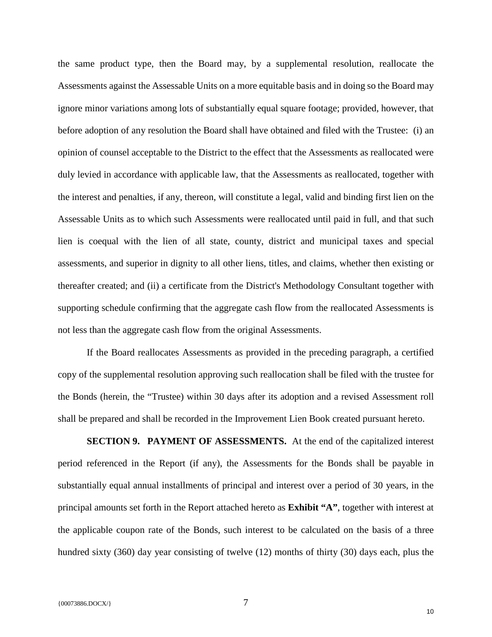the same product type, then the Board may, by a supplemental resolution, reallocate the Assessments against the Assessable Units on a more equitable basis and in doing so the Board may ignore minor variations among lots of substantially equal square footage; provided, however, that before adoption of any resolution the Board shall have obtained and filed with the Trustee: (i) an opinion of counsel acceptable to the District to the effect that the Assessments as reallocated were duly levied in accordance with applicable law, that the Assessments as reallocated, together with the interest and penalties, if any, thereon, will constitute a legal, valid and binding first lien on the Assessable Units as to which such Assessments were reallocated until paid in full, and that such lien is coequal with the lien of all state, county, district and municipal taxes and special assessments, and superior in dignity to all other liens, titles, and claims, whether then existing or thereafter created; and (ii) a certificate from the District's Methodology Consultant together with supporting schedule confirming that the aggregate cash flow from the reallocated Assessments is not less than the aggregate cash flow from the original Assessments.

If the Board reallocates Assessments as provided in the preceding paragraph, a certified copy of the supplemental resolution approving such reallocation shall be filed with the trustee for the Bonds (herein, the "Trustee) within 30 days after its adoption and a revised Assessment roll shall be prepared and shall be recorded in the Improvement Lien Book created pursuant hereto.

**SECTION 9. PAYMENT OF ASSESSMENTS.** At the end of the capitalized interest period referenced in the Report (if any), the Assessments for the Bonds shall be payable in substantially equal annual installments of principal and interest over a period of 30 years, in the principal amounts set forth in the Report attached hereto as **Exhibit "A"**, together with interest at the applicable coupon rate of the Bonds, such interest to be calculated on the basis of a three hundred sixty (360) day year consisting of twelve (12) months of thirty (30) days each, plus the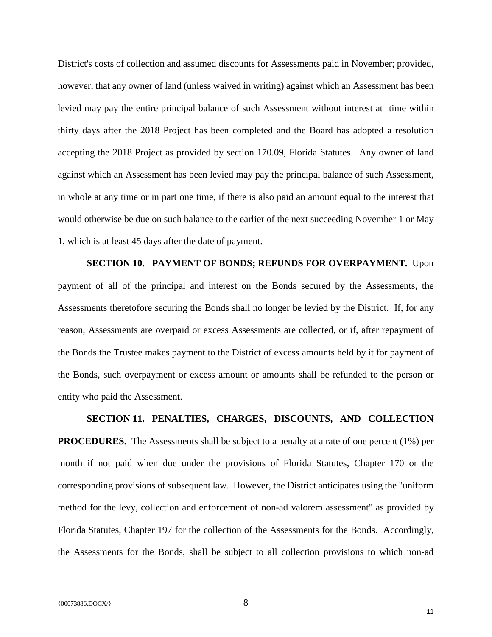District's costs of collection and assumed discounts for Assessments paid in November; provided, however, that any owner of land (unless waived in writing) against which an Assessment has been levied may pay the entire principal balance of such Assessment without interest at time within thirty days after the 2018 Project has been completed and the Board has adopted a resolution accepting the 2018 Project as provided by section 170.09, Florida Statutes. Any owner of land against which an Assessment has been levied may pay the principal balance of such Assessment, in whole at any time or in part one time, if there is also paid an amount equal to the interest that would otherwise be due on such balance to the earlier of the next succeeding November 1 or May 1, which is at least 45 days after the date of payment.

**SECTION 10. PAYMENT OF BONDS; REFUNDS FOR OVERPAYMENT.** Upon payment of all of the principal and interest on the Bonds secured by the Assessments, the Assessments theretofore securing the Bonds shall no longer be levied by the District. If, for any reason, Assessments are overpaid or excess Assessments are collected, or if, after repayment of the Bonds the Trustee makes payment to the District of excess amounts held by it for payment of the Bonds, such overpayment or excess amount or amounts shall be refunded to the person or entity who paid the Assessment.

**SECTION 11. PENALTIES, CHARGES, DISCOUNTS, AND COLLECTION PROCEDURES.** The Assessments shall be subject to a penalty at a rate of one percent (1%) per month if not paid when due under the provisions of Florida Statutes, Chapter 170 or the corresponding provisions of subsequent law. However, the District anticipates using the "uniform method for the levy, collection and enforcement of non-ad valorem assessment" as provided by Florida Statutes, Chapter 197 for the collection of the Assessments for the Bonds. Accordingly, the Assessments for the Bonds, shall be subject to all collection provisions to which non-ad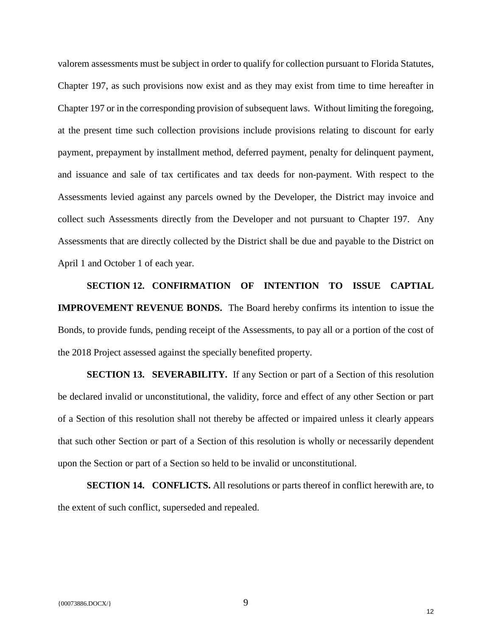valorem assessments must be subject in order to qualify for collection pursuant to Florida Statutes, Chapter 197, as such provisions now exist and as they may exist from time to time hereafter in Chapter 197 or in the corresponding provision of subsequent laws. Without limiting the foregoing, at the present time such collection provisions include provisions relating to discount for early payment, prepayment by installment method, deferred payment, penalty for delinquent payment, and issuance and sale of tax certificates and tax deeds for non-payment. With respect to the Assessments levied against any parcels owned by the Developer, the District may invoice and collect such Assessments directly from the Developer and not pursuant to Chapter 197. Any Assessments that are directly collected by the District shall be due and payable to the District on April 1 and October 1 of each year.

**SECTION 12. CONFIRMATION OF INTENTION TO ISSUE CAPTIAL IMPROVEMENT REVENUE BONDS.** The Board hereby confirms its intention to issue the Bonds, to provide funds, pending receipt of the Assessments, to pay all or a portion of the cost of the 2018 Project assessed against the specially benefited property.

**SECTION 13. SEVERABILITY.** If any Section or part of a Section of this resolution be declared invalid or unconstitutional, the validity, force and effect of any other Section or part of a Section of this resolution shall not thereby be affected or impaired unless it clearly appears that such other Section or part of a Section of this resolution is wholly or necessarily dependent upon the Section or part of a Section so held to be invalid or unconstitutional.

**SECTION 14. CONFLICTS.** All resolutions or parts thereof in conflict herewith are, to the extent of such conflict, superseded and repealed.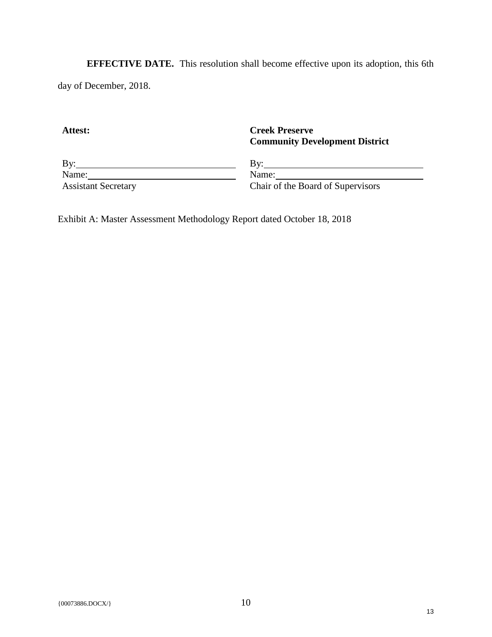**EFFECTIVE DATE.** This resolution shall become effective upon its adoption, this 6th day of December, 2018.

**Attest:**

**Creek Preserve Community Development District**

By:  $Name:$ 

By: Name:

Assistant Secretary

Chair of the Board of Supervisors

Exhibit A: Master Assessment Methodology Report dated October 18, 2018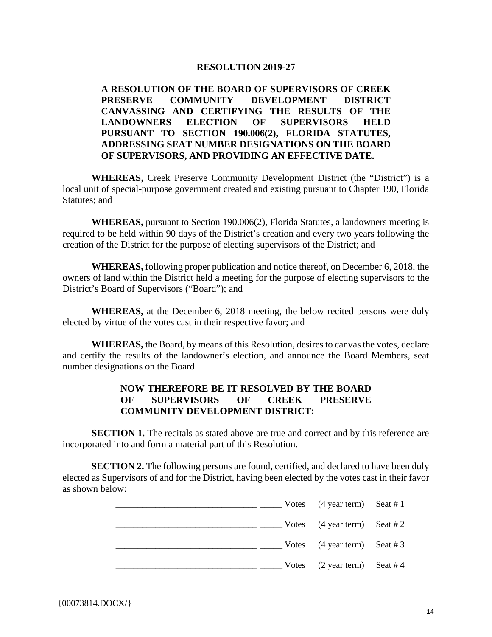# **RESOLUTION 2019-27**

**A RESOLUTION OF THE BOARD OF SUPERVISORS OF CREEK PRESERVE COMMUNITY DEVELOPMENT DISTRICT CANVASSING AND CERTIFYING THE RESULTS OF THE LANDOWNERS ELECTION OF SUPERVISORS HELD PURSUANT TO SECTION 190.006(2), FLORIDA STATUTES, ADDRESSING SEAT NUMBER DESIGNATIONS ON THE BOARD OF SUPERVISORS, AND PROVIDING AN EFFECTIVE DATE.**

**WHEREAS,** Creek Preserve Community Development District (the "District") is a local unit of special-purpose government created and existing pursuant to Chapter 190, Florida Statutes; and

**WHEREAS,** pursuant to Section 190.006(2), Florida Statutes, a landowners meeting is required to be held within 90 days of the District's creation and every two years following the creation of the District for the purpose of electing supervisors of the District; and

**WHEREAS,** following proper publication and notice thereof, on December 6, 2018, the owners of land within the District held a meeting for the purpose of electing supervisors to the District's Board of Supervisors ("Board"); and

**WHEREAS,** at the December 6, 2018 meeting, the below recited persons were duly elected by virtue of the votes cast in their respective favor; and

**WHEREAS,** the Board, by means of this Resolution, desires to canvas the votes, declare and certify the results of the landowner's election, and announce the Board Members, seat number designations on the Board.

# **NOW THEREFORE BE IT RESOLVED BY THE BOARD OF SUPERVISORS OF CREEK PRESERVE COMMUNITY DEVELOPMENT DISTRICT:**

**SECTION 1.** The recitals as stated above are true and correct and by this reference are incorporated into and form a material part of this Resolution.

**SECTION 2.** The following persons are found, certified, and declared to have been duly elected as Supervisors of and for the District, having been elected by the votes cast in their favor as shown below:

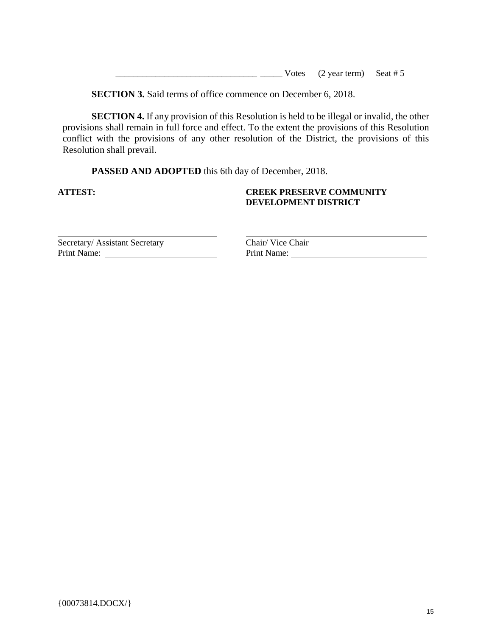|  | Votes $(2 \text{ year term})$ Seat # 5 |
|--|----------------------------------------|
|--|----------------------------------------|

**SECTION 3.** Said terms of office commence on December 6, 2018.

**SECTION 4.** If any provision of this Resolution is held to be illegal or invalid, the other provisions shall remain in full force and effect. To the extent the provisions of this Resolution conflict with the provisions of any other resolution of the District, the provisions of this Resolution shall prevail.

**PASSED AND ADOPTED** this 6th day of December, 2018.

## **ATTEST: CREEK PRESERVE COMMUNITY DEVELOPMENT DISTRICT**

Secretary/ Assistant Secretary Chair/ Vice Chair

Print Name: Print Name: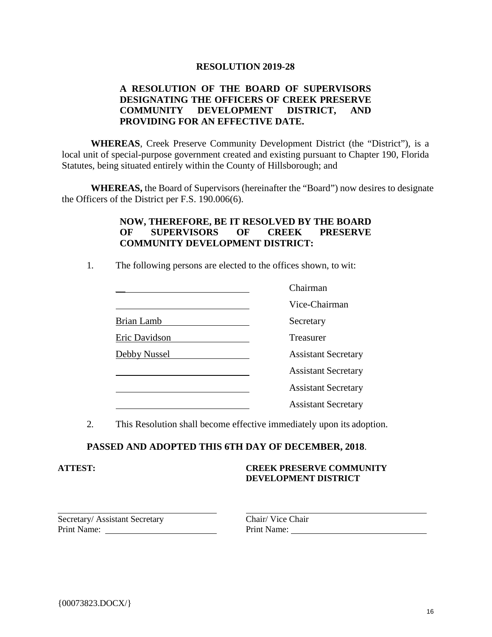## **RESOLUTION 2019-28**

# **A RESOLUTION OF THE BOARD OF SUPERVISORS DESIGNATING THE OFFICERS OF CREEK PRESERVE COMMUNITY DEVELOPMENT DISTRICT, AND PROVIDING FOR AN EFFECTIVE DATE.**

WHEREAS, Creek Preserve Community Development District (the "District"), is a local unit of special-purpose government created and existing pursuant to Chapter 190, Florida Statutes, being situated entirely within the County of Hillsborough; and

**WHEREAS,** the Board of Supervisors (hereinafter the "Board") now desires to designate the Officers of the District per F.S. 190.006(6).

# **NOW, THEREFORE, BE IT RESOLVED BY THE BOARD OF SUPERVISORS OF CREEK PRESERVE COMMUNITY DEVELOPMENT DISTRICT:**

1. The following persons are elected to the offices shown, to wit:

|                   | Chairman                   |
|-------------------|----------------------------|
|                   | Vice-Chairman              |
| <b>Brian Lamb</b> | Secretary                  |
| Eric Davidson     | Treasurer                  |
| Debby Nussel      | <b>Assistant Secretary</b> |
|                   | <b>Assistant Secretary</b> |
|                   | <b>Assistant Secretary</b> |
|                   | <b>Assistant Secretary</b> |

2. This Resolution shall become effective immediately upon its adoption.

# **PASSED AND ADOPTED THIS 6TH DAY OF DECEMBER, 2018**.

#### **ATTEST: CREEK PRESERVE COMMUNITY DEVELOPMENT DISTRICT**

Secretary/ Assistant Secretary Chair/ Vice Chair<br>
Print Name: Print Name: Print Name: Print Name: Print Name: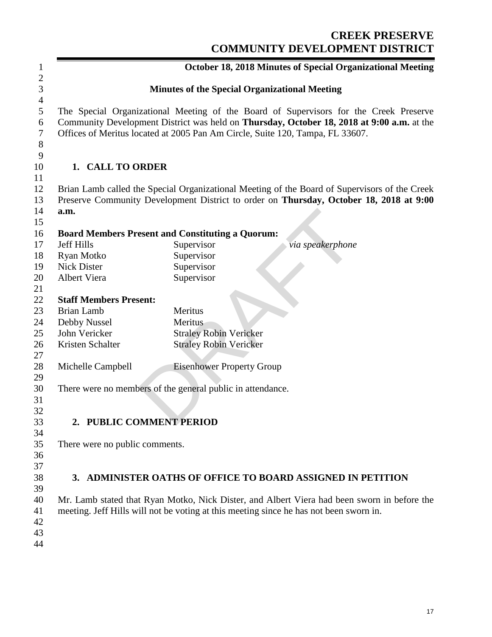# **CREEK PRESERVE COMMUNITY DEVELOPMENT DISTRICT**

| 1                                           |                                  | <b>October 18, 2018 Minutes of Special Organizational Meeting</b>                                                                                                                                                                                                   |
|---------------------------------------------|----------------------------------|---------------------------------------------------------------------------------------------------------------------------------------------------------------------------------------------------------------------------------------------------------------------|
| $\overline{c}$<br>3                         |                                  | <b>Minutes of the Special Organizational Meeting</b>                                                                                                                                                                                                                |
| $\overline{4}$<br>5<br>6<br>$\tau$<br>$8\,$ |                                  | The Special Organizational Meeting of the Board of Supervisors for the Creek Preserve<br>Community Development District was held on Thursday, October 18, 2018 at 9:00 a.m. at the<br>Offices of Meritus located at 2005 Pan Am Circle, Suite 120, Tampa, FL 33607. |
| $\overline{9}$<br>10<br>11                  | 1. CALL TO ORDER                 |                                                                                                                                                                                                                                                                     |
| 12<br>13<br>14                              | a.m.                             | Brian Lamb called the Special Organizational Meeting of the Board of Supervisors of the Creek<br>Preserve Community Development District to order on Thursday, October 18, 2018 at 9:00                                                                             |
| 15                                          |                                  |                                                                                                                                                                                                                                                                     |
| 16                                          |                                  | <b>Board Members Present and Constituting a Quorum:</b>                                                                                                                                                                                                             |
| 17                                          | <b>Jeff Hills</b>                | Supervisor<br>via speakerphone                                                                                                                                                                                                                                      |
| 18<br>19                                    | Ryan Motko<br><b>Nick Dister</b> | Supervisor                                                                                                                                                                                                                                                          |
| 20                                          | Albert Viera                     | Supervisor<br>Supervisor                                                                                                                                                                                                                                            |
| 21                                          |                                  |                                                                                                                                                                                                                                                                     |
| 22                                          | <b>Staff Members Present:</b>    |                                                                                                                                                                                                                                                                     |
| 23                                          | <b>Brian Lamb</b>                | Meritus                                                                                                                                                                                                                                                             |
|                                             |                                  | Meritus                                                                                                                                                                                                                                                             |
| 24<br>25                                    | Debby Nussel<br>John Vericker    |                                                                                                                                                                                                                                                                     |
| 26                                          | Kristen Schalter                 | <b>Straley Robin Vericker</b>                                                                                                                                                                                                                                       |
| 27                                          |                                  | <b>Straley Robin Vericker</b>                                                                                                                                                                                                                                       |
| 28<br>29                                    | Michelle Campbell                | <b>Eisenhower Property Group</b>                                                                                                                                                                                                                                    |
| 30<br>31                                    |                                  | There were no members of the general public in attendance.                                                                                                                                                                                                          |
| 32                                          |                                  |                                                                                                                                                                                                                                                                     |
| 33                                          | 2. PUBLIC COMMENT PERIOD         |                                                                                                                                                                                                                                                                     |
| 34                                          |                                  |                                                                                                                                                                                                                                                                     |
| 35                                          | There were no public comments.   |                                                                                                                                                                                                                                                                     |
| 36                                          |                                  |                                                                                                                                                                                                                                                                     |
| 37                                          |                                  |                                                                                                                                                                                                                                                                     |
| 38                                          |                                  | 3. ADMINISTER OATHS OF OFFICE TO BOARD ASSIGNED IN PETITION                                                                                                                                                                                                         |
| 39                                          |                                  |                                                                                                                                                                                                                                                                     |
| 40                                          |                                  | Mr. Lamb stated that Ryan Motko, Nick Dister, and Albert Viera had been sworn in before the                                                                                                                                                                         |
| 41                                          |                                  | meeting. Jeff Hills will not be voting at this meeting since he has not been sworn in.                                                                                                                                                                              |
| 42                                          |                                  |                                                                                                                                                                                                                                                                     |
| 43                                          |                                  |                                                                                                                                                                                                                                                                     |
| 44                                          |                                  |                                                                                                                                                                                                                                                                     |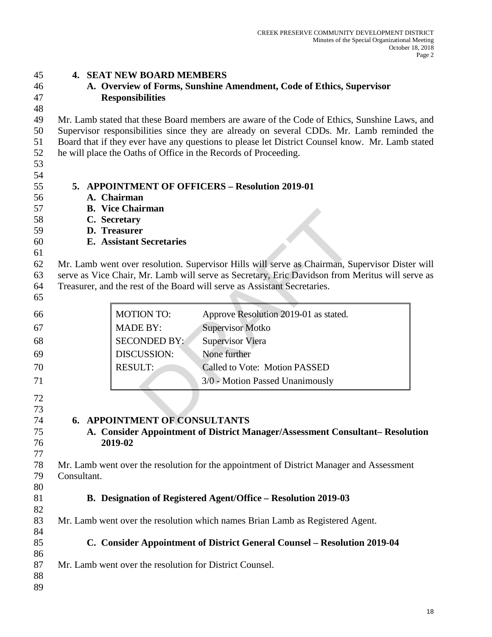| A. Overview of Forms, Sunshine Amendment, Code of Ethics, Supervisor<br><b>Responsibilities</b><br>Mr. Lamb stated that these Board members are aware of the Code of Ethics, Sunshine Laws, and<br>Supervisor responsibilities since they are already on several CDDs. Mr. Lamb reminded the<br>Board that if they ever have any questions to please let District Counsel know. Mr. Lamb stated<br>he will place the Oaths of Office in the Records of Proceeding.<br>5. APPOINTMENT OF OFFICERS - Resolution 2019-01<br>A. Chairman<br><b>B.</b> Vice Chairman<br>C. Secretary<br>D. Treasurer<br><b>E.</b> Assistant Secretaries<br>Mr. Lamb went over resolution. Supervisor Hills will serve as Chairman, Supervisor Dister will<br>serve as Vice Chair, Mr. Lamb will serve as Secretary, Eric Davidson from Meritus will serve as<br>Treasurer, and the rest of the Board will serve as Assistant Secretaries.<br><b>MOTION TO:</b><br>Approve Resolution 2019-01 as stated.<br>66<br><b>MADE BY:</b><br><b>Supervisor Motko</b><br>67<br><b>SECONDED BY:</b><br>68<br><b>Supervisor Viera</b><br><b>DISCUSSION:</b><br>None further<br>69<br><b>RESULT:</b><br>Called to Vote: Motion PASSED<br>3/0 - Motion Passed Unanimously<br>72<br>73<br><b>6. APPOINTMENT OF CONSULTANTS</b><br>74<br>75<br>A. Consider Appointment of District Manager/Assessment Consultant-Resolution<br>2019-02<br>76<br>77<br>78<br>Mr. Lamb went over the resolution for the appointment of District Manager and Assessment<br>79<br>Consultant.<br>80<br>B. Designation of Registered Agent/Office – Resolution 2019-03<br>81<br>82<br>83<br>Mr. Lamb went over the resolution which names Brian Lamb as Registered Agent.<br>84<br>85<br>C. Consider Appointment of District General Counsel – Resolution 2019-04<br>86<br>87<br>Mr. Lamb went over the resolution for District Counsel. | 45 | <b>4. SEAT NEW BOARD MEMBERS</b> |
|--------------------------------------------------------------------------------------------------------------------------------------------------------------------------------------------------------------------------------------------------------------------------------------------------------------------------------------------------------------------------------------------------------------------------------------------------------------------------------------------------------------------------------------------------------------------------------------------------------------------------------------------------------------------------------------------------------------------------------------------------------------------------------------------------------------------------------------------------------------------------------------------------------------------------------------------------------------------------------------------------------------------------------------------------------------------------------------------------------------------------------------------------------------------------------------------------------------------------------------------------------------------------------------------------------------------------------------------------------------------------------------------------------------------------------------------------------------------------------------------------------------------------------------------------------------------------------------------------------------------------------------------------------------------------------------------------------------------------------------------------------------------------------------------------------------------------------------------------------------------------------|----|----------------------------------|
|                                                                                                                                                                                                                                                                                                                                                                                                                                                                                                                                                                                                                                                                                                                                                                                                                                                                                                                                                                                                                                                                                                                                                                                                                                                                                                                                                                                                                                                                                                                                                                                                                                                                                                                                                                                                                                                                                | 46 |                                  |
|                                                                                                                                                                                                                                                                                                                                                                                                                                                                                                                                                                                                                                                                                                                                                                                                                                                                                                                                                                                                                                                                                                                                                                                                                                                                                                                                                                                                                                                                                                                                                                                                                                                                                                                                                                                                                                                                                | 47 |                                  |
|                                                                                                                                                                                                                                                                                                                                                                                                                                                                                                                                                                                                                                                                                                                                                                                                                                                                                                                                                                                                                                                                                                                                                                                                                                                                                                                                                                                                                                                                                                                                                                                                                                                                                                                                                                                                                                                                                | 48 |                                  |
|                                                                                                                                                                                                                                                                                                                                                                                                                                                                                                                                                                                                                                                                                                                                                                                                                                                                                                                                                                                                                                                                                                                                                                                                                                                                                                                                                                                                                                                                                                                                                                                                                                                                                                                                                                                                                                                                                | 49 |                                  |
|                                                                                                                                                                                                                                                                                                                                                                                                                                                                                                                                                                                                                                                                                                                                                                                                                                                                                                                                                                                                                                                                                                                                                                                                                                                                                                                                                                                                                                                                                                                                                                                                                                                                                                                                                                                                                                                                                | 50 |                                  |
|                                                                                                                                                                                                                                                                                                                                                                                                                                                                                                                                                                                                                                                                                                                                                                                                                                                                                                                                                                                                                                                                                                                                                                                                                                                                                                                                                                                                                                                                                                                                                                                                                                                                                                                                                                                                                                                                                | 51 |                                  |
|                                                                                                                                                                                                                                                                                                                                                                                                                                                                                                                                                                                                                                                                                                                                                                                                                                                                                                                                                                                                                                                                                                                                                                                                                                                                                                                                                                                                                                                                                                                                                                                                                                                                                                                                                                                                                                                                                | 52 |                                  |
|                                                                                                                                                                                                                                                                                                                                                                                                                                                                                                                                                                                                                                                                                                                                                                                                                                                                                                                                                                                                                                                                                                                                                                                                                                                                                                                                                                                                                                                                                                                                                                                                                                                                                                                                                                                                                                                                                | 53 |                                  |
|                                                                                                                                                                                                                                                                                                                                                                                                                                                                                                                                                                                                                                                                                                                                                                                                                                                                                                                                                                                                                                                                                                                                                                                                                                                                                                                                                                                                                                                                                                                                                                                                                                                                                                                                                                                                                                                                                | 54 |                                  |
|                                                                                                                                                                                                                                                                                                                                                                                                                                                                                                                                                                                                                                                                                                                                                                                                                                                                                                                                                                                                                                                                                                                                                                                                                                                                                                                                                                                                                                                                                                                                                                                                                                                                                                                                                                                                                                                                                | 55 |                                  |
|                                                                                                                                                                                                                                                                                                                                                                                                                                                                                                                                                                                                                                                                                                                                                                                                                                                                                                                                                                                                                                                                                                                                                                                                                                                                                                                                                                                                                                                                                                                                                                                                                                                                                                                                                                                                                                                                                | 56 |                                  |
|                                                                                                                                                                                                                                                                                                                                                                                                                                                                                                                                                                                                                                                                                                                                                                                                                                                                                                                                                                                                                                                                                                                                                                                                                                                                                                                                                                                                                                                                                                                                                                                                                                                                                                                                                                                                                                                                                | 57 |                                  |
|                                                                                                                                                                                                                                                                                                                                                                                                                                                                                                                                                                                                                                                                                                                                                                                                                                                                                                                                                                                                                                                                                                                                                                                                                                                                                                                                                                                                                                                                                                                                                                                                                                                                                                                                                                                                                                                                                | 58 |                                  |
|                                                                                                                                                                                                                                                                                                                                                                                                                                                                                                                                                                                                                                                                                                                                                                                                                                                                                                                                                                                                                                                                                                                                                                                                                                                                                                                                                                                                                                                                                                                                                                                                                                                                                                                                                                                                                                                                                | 59 |                                  |
|                                                                                                                                                                                                                                                                                                                                                                                                                                                                                                                                                                                                                                                                                                                                                                                                                                                                                                                                                                                                                                                                                                                                                                                                                                                                                                                                                                                                                                                                                                                                                                                                                                                                                                                                                                                                                                                                                | 60 |                                  |
|                                                                                                                                                                                                                                                                                                                                                                                                                                                                                                                                                                                                                                                                                                                                                                                                                                                                                                                                                                                                                                                                                                                                                                                                                                                                                                                                                                                                                                                                                                                                                                                                                                                                                                                                                                                                                                                                                | 61 |                                  |
|                                                                                                                                                                                                                                                                                                                                                                                                                                                                                                                                                                                                                                                                                                                                                                                                                                                                                                                                                                                                                                                                                                                                                                                                                                                                                                                                                                                                                                                                                                                                                                                                                                                                                                                                                                                                                                                                                | 62 |                                  |
|                                                                                                                                                                                                                                                                                                                                                                                                                                                                                                                                                                                                                                                                                                                                                                                                                                                                                                                                                                                                                                                                                                                                                                                                                                                                                                                                                                                                                                                                                                                                                                                                                                                                                                                                                                                                                                                                                | 63 |                                  |
|                                                                                                                                                                                                                                                                                                                                                                                                                                                                                                                                                                                                                                                                                                                                                                                                                                                                                                                                                                                                                                                                                                                                                                                                                                                                                                                                                                                                                                                                                                                                                                                                                                                                                                                                                                                                                                                                                | 64 |                                  |
|                                                                                                                                                                                                                                                                                                                                                                                                                                                                                                                                                                                                                                                                                                                                                                                                                                                                                                                                                                                                                                                                                                                                                                                                                                                                                                                                                                                                                                                                                                                                                                                                                                                                                                                                                                                                                                                                                | 65 |                                  |
|                                                                                                                                                                                                                                                                                                                                                                                                                                                                                                                                                                                                                                                                                                                                                                                                                                                                                                                                                                                                                                                                                                                                                                                                                                                                                                                                                                                                                                                                                                                                                                                                                                                                                                                                                                                                                                                                                |    |                                  |
|                                                                                                                                                                                                                                                                                                                                                                                                                                                                                                                                                                                                                                                                                                                                                                                                                                                                                                                                                                                                                                                                                                                                                                                                                                                                                                                                                                                                                                                                                                                                                                                                                                                                                                                                                                                                                                                                                |    |                                  |
|                                                                                                                                                                                                                                                                                                                                                                                                                                                                                                                                                                                                                                                                                                                                                                                                                                                                                                                                                                                                                                                                                                                                                                                                                                                                                                                                                                                                                                                                                                                                                                                                                                                                                                                                                                                                                                                                                |    |                                  |
|                                                                                                                                                                                                                                                                                                                                                                                                                                                                                                                                                                                                                                                                                                                                                                                                                                                                                                                                                                                                                                                                                                                                                                                                                                                                                                                                                                                                                                                                                                                                                                                                                                                                                                                                                                                                                                                                                |    |                                  |
|                                                                                                                                                                                                                                                                                                                                                                                                                                                                                                                                                                                                                                                                                                                                                                                                                                                                                                                                                                                                                                                                                                                                                                                                                                                                                                                                                                                                                                                                                                                                                                                                                                                                                                                                                                                                                                                                                |    |                                  |
|                                                                                                                                                                                                                                                                                                                                                                                                                                                                                                                                                                                                                                                                                                                                                                                                                                                                                                                                                                                                                                                                                                                                                                                                                                                                                                                                                                                                                                                                                                                                                                                                                                                                                                                                                                                                                                                                                | 70 |                                  |
|                                                                                                                                                                                                                                                                                                                                                                                                                                                                                                                                                                                                                                                                                                                                                                                                                                                                                                                                                                                                                                                                                                                                                                                                                                                                                                                                                                                                                                                                                                                                                                                                                                                                                                                                                                                                                                                                                | 71 |                                  |
|                                                                                                                                                                                                                                                                                                                                                                                                                                                                                                                                                                                                                                                                                                                                                                                                                                                                                                                                                                                                                                                                                                                                                                                                                                                                                                                                                                                                                                                                                                                                                                                                                                                                                                                                                                                                                                                                                |    |                                  |
|                                                                                                                                                                                                                                                                                                                                                                                                                                                                                                                                                                                                                                                                                                                                                                                                                                                                                                                                                                                                                                                                                                                                                                                                                                                                                                                                                                                                                                                                                                                                                                                                                                                                                                                                                                                                                                                                                |    |                                  |
|                                                                                                                                                                                                                                                                                                                                                                                                                                                                                                                                                                                                                                                                                                                                                                                                                                                                                                                                                                                                                                                                                                                                                                                                                                                                                                                                                                                                                                                                                                                                                                                                                                                                                                                                                                                                                                                                                |    |                                  |
|                                                                                                                                                                                                                                                                                                                                                                                                                                                                                                                                                                                                                                                                                                                                                                                                                                                                                                                                                                                                                                                                                                                                                                                                                                                                                                                                                                                                                                                                                                                                                                                                                                                                                                                                                                                                                                                                                |    |                                  |
|                                                                                                                                                                                                                                                                                                                                                                                                                                                                                                                                                                                                                                                                                                                                                                                                                                                                                                                                                                                                                                                                                                                                                                                                                                                                                                                                                                                                                                                                                                                                                                                                                                                                                                                                                                                                                                                                                |    |                                  |
|                                                                                                                                                                                                                                                                                                                                                                                                                                                                                                                                                                                                                                                                                                                                                                                                                                                                                                                                                                                                                                                                                                                                                                                                                                                                                                                                                                                                                                                                                                                                                                                                                                                                                                                                                                                                                                                                                |    |                                  |
|                                                                                                                                                                                                                                                                                                                                                                                                                                                                                                                                                                                                                                                                                                                                                                                                                                                                                                                                                                                                                                                                                                                                                                                                                                                                                                                                                                                                                                                                                                                                                                                                                                                                                                                                                                                                                                                                                |    |                                  |
|                                                                                                                                                                                                                                                                                                                                                                                                                                                                                                                                                                                                                                                                                                                                                                                                                                                                                                                                                                                                                                                                                                                                                                                                                                                                                                                                                                                                                                                                                                                                                                                                                                                                                                                                                                                                                                                                                |    |                                  |
|                                                                                                                                                                                                                                                                                                                                                                                                                                                                                                                                                                                                                                                                                                                                                                                                                                                                                                                                                                                                                                                                                                                                                                                                                                                                                                                                                                                                                                                                                                                                                                                                                                                                                                                                                                                                                                                                                |    |                                  |
|                                                                                                                                                                                                                                                                                                                                                                                                                                                                                                                                                                                                                                                                                                                                                                                                                                                                                                                                                                                                                                                                                                                                                                                                                                                                                                                                                                                                                                                                                                                                                                                                                                                                                                                                                                                                                                                                                |    |                                  |
|                                                                                                                                                                                                                                                                                                                                                                                                                                                                                                                                                                                                                                                                                                                                                                                                                                                                                                                                                                                                                                                                                                                                                                                                                                                                                                                                                                                                                                                                                                                                                                                                                                                                                                                                                                                                                                                                                |    |                                  |
|                                                                                                                                                                                                                                                                                                                                                                                                                                                                                                                                                                                                                                                                                                                                                                                                                                                                                                                                                                                                                                                                                                                                                                                                                                                                                                                                                                                                                                                                                                                                                                                                                                                                                                                                                                                                                                                                                |    |                                  |
|                                                                                                                                                                                                                                                                                                                                                                                                                                                                                                                                                                                                                                                                                                                                                                                                                                                                                                                                                                                                                                                                                                                                                                                                                                                                                                                                                                                                                                                                                                                                                                                                                                                                                                                                                                                                                                                                                |    |                                  |
|                                                                                                                                                                                                                                                                                                                                                                                                                                                                                                                                                                                                                                                                                                                                                                                                                                                                                                                                                                                                                                                                                                                                                                                                                                                                                                                                                                                                                                                                                                                                                                                                                                                                                                                                                                                                                                                                                |    |                                  |
|                                                                                                                                                                                                                                                                                                                                                                                                                                                                                                                                                                                                                                                                                                                                                                                                                                                                                                                                                                                                                                                                                                                                                                                                                                                                                                                                                                                                                                                                                                                                                                                                                                                                                                                                                                                                                                                                                |    |                                  |
|                                                                                                                                                                                                                                                                                                                                                                                                                                                                                                                                                                                                                                                                                                                                                                                                                                                                                                                                                                                                                                                                                                                                                                                                                                                                                                                                                                                                                                                                                                                                                                                                                                                                                                                                                                                                                                                                                |    |                                  |
|                                                                                                                                                                                                                                                                                                                                                                                                                                                                                                                                                                                                                                                                                                                                                                                                                                                                                                                                                                                                                                                                                                                                                                                                                                                                                                                                                                                                                                                                                                                                                                                                                                                                                                                                                                                                                                                                                | 88 |                                  |
|                                                                                                                                                                                                                                                                                                                                                                                                                                                                                                                                                                                                                                                                                                                                                                                                                                                                                                                                                                                                                                                                                                                                                                                                                                                                                                                                                                                                                                                                                                                                                                                                                                                                                                                                                                                                                                                                                | 89 |                                  |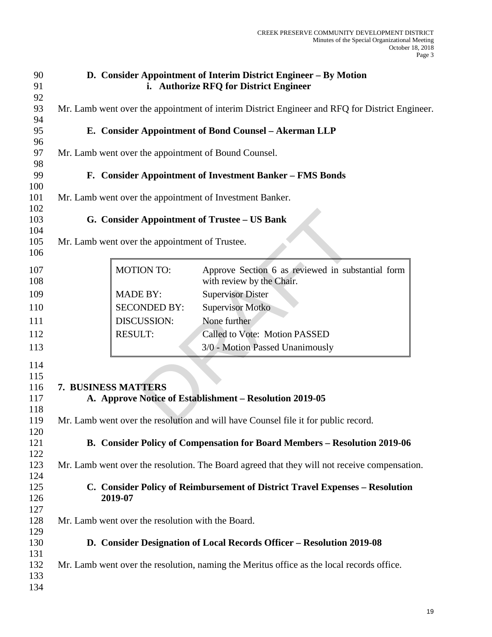|                     | D. Consider Appointment of Interim District Engineer - By Motion<br>i. Authorize RFQ for District Engineer                                                                                                                                                                                                                                                                                |
|---------------------|-------------------------------------------------------------------------------------------------------------------------------------------------------------------------------------------------------------------------------------------------------------------------------------------------------------------------------------------------------------------------------------------|
|                     | Mr. Lamb went over the appointment of interim District Engineer and RFQ for District Engineer.                                                                                                                                                                                                                                                                                            |
|                     |                                                                                                                                                                                                                                                                                                                                                                                           |
|                     | E. Consider Appointment of Bond Counsel - Akerman LLP                                                                                                                                                                                                                                                                                                                                     |
|                     |                                                                                                                                                                                                                                                                                                                                                                                           |
|                     |                                                                                                                                                                                                                                                                                                                                                                                           |
|                     | F. Consider Appointment of Investment Banker - FMS Bonds                                                                                                                                                                                                                                                                                                                                  |
|                     |                                                                                                                                                                                                                                                                                                                                                                                           |
|                     |                                                                                                                                                                                                                                                                                                                                                                                           |
|                     |                                                                                                                                                                                                                                                                                                                                                                                           |
|                     |                                                                                                                                                                                                                                                                                                                                                                                           |
|                     |                                                                                                                                                                                                                                                                                                                                                                                           |
|                     | Approve Section 6 as reviewed in substantial form                                                                                                                                                                                                                                                                                                                                         |
|                     | with review by the Chair.                                                                                                                                                                                                                                                                                                                                                                 |
| <b>MADE BY:</b>     | <b>Supervisor Dister</b>                                                                                                                                                                                                                                                                                                                                                                  |
| <b>SECONDED BY:</b> | <b>Supervisor Motko</b>                                                                                                                                                                                                                                                                                                                                                                   |
| DISCUSSION:         | None further                                                                                                                                                                                                                                                                                                                                                                              |
| <b>RESULT:</b>      | Called to Vote: Motion PASSED                                                                                                                                                                                                                                                                                                                                                             |
|                     | 3/0 - Motion Passed Unanimously                                                                                                                                                                                                                                                                                                                                                           |
|                     |                                                                                                                                                                                                                                                                                                                                                                                           |
|                     |                                                                                                                                                                                                                                                                                                                                                                                           |
|                     |                                                                                                                                                                                                                                                                                                                                                                                           |
|                     |                                                                                                                                                                                                                                                                                                                                                                                           |
|                     | Mr. Lamb went over the resolution and will have Counsel file it for public record.                                                                                                                                                                                                                                                                                                        |
|                     |                                                                                                                                                                                                                                                                                                                                                                                           |
|                     | B. Consider Policy of Compensation for Board Members - Resolution 2019-06                                                                                                                                                                                                                                                                                                                 |
|                     | Mr. Lamb went over the resolution. The Board agreed that they will not receive compensation.                                                                                                                                                                                                                                                                                              |
|                     |                                                                                                                                                                                                                                                                                                                                                                                           |
|                     | C. Consider Policy of Reimbursement of District Travel Expenses - Resolution                                                                                                                                                                                                                                                                                                              |
|                     |                                                                                                                                                                                                                                                                                                                                                                                           |
|                     |                                                                                                                                                                                                                                                                                                                                                                                           |
|                     |                                                                                                                                                                                                                                                                                                                                                                                           |
|                     | D. Consider Designation of Local Records Officer - Resolution 2019-08                                                                                                                                                                                                                                                                                                                     |
|                     |                                                                                                                                                                                                                                                                                                                                                                                           |
|                     | Mr. Lamb went over the resolution, naming the Meritus office as the local records office.                                                                                                                                                                                                                                                                                                 |
|                     |                                                                                                                                                                                                                                                                                                                                                                                           |
|                     | Mr. Lamb went over the appointment of Bound Counsel.<br>Mr. Lamb went over the appointment of Investment Banker.<br>G. Consider Appointment of Trustee – US Bank<br>Mr. Lamb went over the appointment of Trustee.<br><b>MOTION TO:</b><br>7. BUSINESS MATTERS<br>A. Approve Notice of Establishment – Resolution 2019-05<br>2019-07<br>Mr. Lamb went over the resolution with the Board. |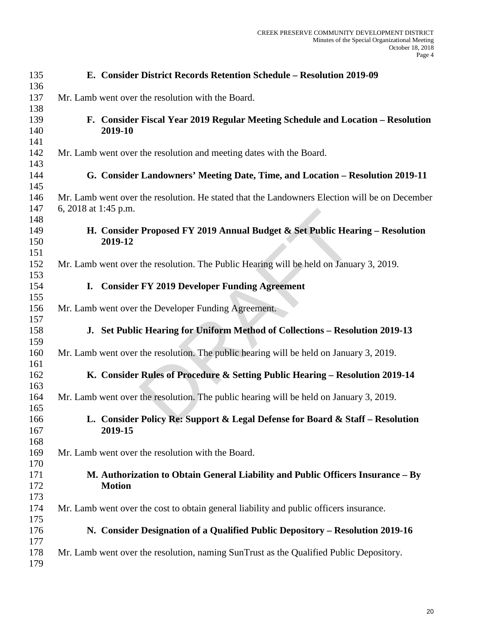| 135        |                      | E. Consider District Records Retention Schedule - Resolution 2019-09                          |
|------------|----------------------|-----------------------------------------------------------------------------------------------|
| 136        |                      |                                                                                               |
| 137        |                      | Mr. Lamb went over the resolution with the Board.                                             |
| 138<br>139 |                      | F. Consider Fiscal Year 2019 Regular Meeting Schedule and Location - Resolution               |
| 140        |                      | 2019-10                                                                                       |
| 141<br>142 |                      | Mr. Lamb went over the resolution and meeting dates with the Board.                           |
| 143<br>144 |                      | G. Consider Landowners' Meeting Date, Time, and Location - Resolution 2019-11                 |
| 145        |                      |                                                                                               |
| 146<br>147 | 6, 2018 at 1:45 p.m. | Mr. Lamb went over the resolution. He stated that the Landowners Election will be on December |
| 148        |                      |                                                                                               |
| 149        |                      | H. Consider Proposed FY 2019 Annual Budget & Set Public Hearing - Resolution                  |
| 150        |                      | 2019-12                                                                                       |
| 151        |                      |                                                                                               |
| 152<br>153 |                      | Mr. Lamb went over the resolution. The Public Hearing will be held on January 3, 2019.        |
| 154        | I.                   | <b>Consider FY 2019 Developer Funding Agreement</b>                                           |
| 155        |                      |                                                                                               |
| 156<br>157 |                      | Mr. Lamb went over the Developer Funding Agreement.                                           |
| 158        |                      | J. Set Public Hearing for Uniform Method of Collections - Resolution 2019-13                  |
| 159<br>160 |                      | Mr. Lamb went over the resolution. The public hearing will be held on January 3, 2019.        |
| 161        |                      |                                                                                               |
| 162<br>163 |                      | K. Consider Rules of Procedure & Setting Public Hearing - Resolution 2019-14                  |
| 164<br>165 |                      | Mr. Lamb went over the resolution. The public hearing will be held on January 3, 2019.        |
| 166        |                      | L. Consider Policy Re: Support & Legal Defense for Board & Staff - Resolution                 |
| 167        |                      | 2019-15                                                                                       |
| 168        |                      |                                                                                               |
| 169        |                      | Mr. Lamb went over the resolution with the Board.                                             |
| 170        |                      |                                                                                               |
| 171        |                      | M. Authorization to Obtain General Liability and Public Officers Insurance - By               |
| 172        |                      | <b>Motion</b>                                                                                 |
| 173        |                      |                                                                                               |
| 174        |                      | Mr. Lamb went over the cost to obtain general liability and public officers insurance.        |
| 175<br>176 |                      | N. Consider Designation of a Qualified Public Depository - Resolution 2019-16                 |
| 177        |                      |                                                                                               |
| 178<br>179 |                      | Mr. Lamb went over the resolution, naming SunTrust as the Qualified Public Depository.        |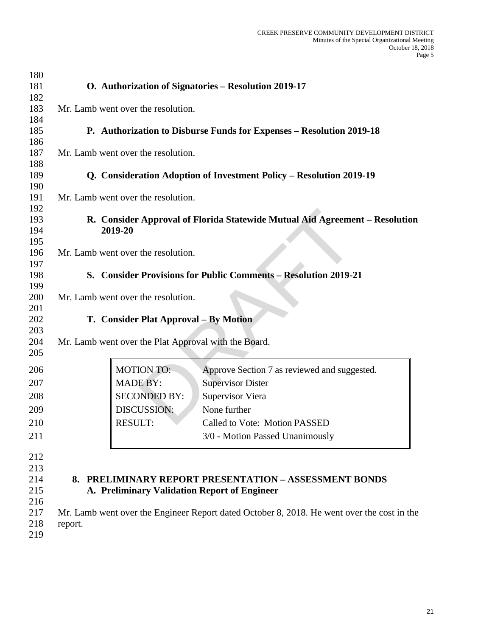| 180        |         |                                                      |                                                                                            |
|------------|---------|------------------------------------------------------|--------------------------------------------------------------------------------------------|
| 181        |         |                                                      | O. Authorization of Signatories - Resolution 2019-17                                       |
| 182        |         |                                                      |                                                                                            |
| 183        |         | Mr. Lamb went over the resolution.                   |                                                                                            |
| 184        |         |                                                      |                                                                                            |
| 185        |         |                                                      | P. Authorization to Disburse Funds for Expenses - Resolution 2019-18                       |
| 186        |         |                                                      |                                                                                            |
| 187        |         | Mr. Lamb went over the resolution.                   |                                                                                            |
| 188        |         |                                                      |                                                                                            |
| 189        |         |                                                      | Q. Consideration Adoption of Investment Policy - Resolution 2019-19                        |
| 190        |         |                                                      |                                                                                            |
| 191        |         | Mr. Lamb went over the resolution.                   |                                                                                            |
| 192        |         |                                                      |                                                                                            |
| 193        |         |                                                      | R. Consider Approval of Florida Statewide Mutual Aid Agreement - Resolution                |
| 194        |         | 2019-20                                              |                                                                                            |
| 195        |         |                                                      |                                                                                            |
| 196        |         | Mr. Lamb went over the resolution.                   |                                                                                            |
| 197        |         |                                                      |                                                                                            |
| 198        |         |                                                      | S. Consider Provisions for Public Comments - Resolution 2019-21                            |
| 199        |         |                                                      |                                                                                            |
| 200        |         | Mr. Lamb went over the resolution.                   |                                                                                            |
| 201        |         |                                                      |                                                                                            |
| 202        |         | T. Consider Plat Approval – By Motion                |                                                                                            |
| 203        |         |                                                      |                                                                                            |
| 204<br>205 |         | Mr. Lamb went over the Plat Approval with the Board. |                                                                                            |
|            |         |                                                      |                                                                                            |
| 206        |         | <b>MOTION TO:</b>                                    | Approve Section 7 as reviewed and suggested.                                               |
| 207        |         | <b>MADE BY:</b>                                      | <b>Supervisor Dister</b>                                                                   |
| 208        |         | <b>SECONDED BY:</b>                                  | <b>Supervisor Viera</b>                                                                    |
| 209        |         | DISCUSSION:                                          | None further                                                                               |
|            |         |                                                      |                                                                                            |
| 210        |         | <b>RESULT:</b>                                       | Called to Vote: Motion PASSED                                                              |
| 211        |         |                                                      | 3/0 - Motion Passed Unanimously                                                            |
| 212        |         |                                                      |                                                                                            |
| 213        |         |                                                      |                                                                                            |
| 214        |         |                                                      | 8. PRELIMINARY REPORT PRESENTATION - ASSESSMENT BONDS                                      |
| 215        |         | A. Preliminary Validation Report of Engineer         |                                                                                            |
| 216        |         |                                                      |                                                                                            |
| 217        |         |                                                      | Mr. Lamb went over the Engineer Report dated October 8, 2018. He went over the cost in the |
| 218        | report. |                                                      |                                                                                            |
| 219        |         |                                                      |                                                                                            |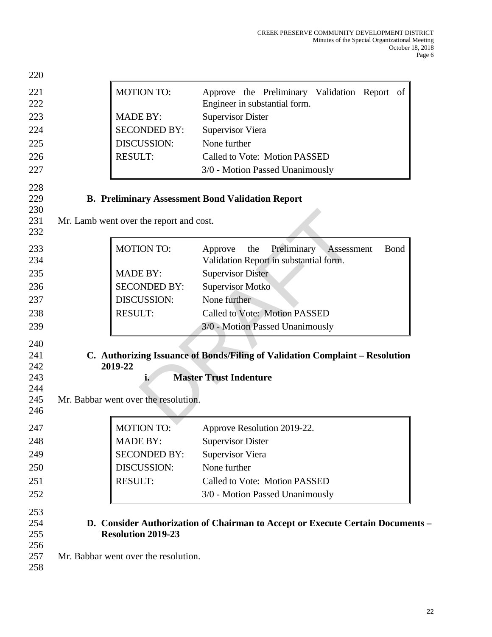| 221<br><b>MOTION TO:</b><br>222<br>Engineer in substantial form.<br>223<br><b>MADE BY:</b><br><b>Supervisor Dister</b><br>224<br><b>SECONDED BY:</b><br><b>Supervisor Viera</b><br>None further<br>DISCUSSION:<br>225<br>226<br><b>RESULT:</b><br>Called to Vote: Motion PASSED<br>227<br>3/0 - Motion Passed Unanimously<br>228<br>229<br><b>B. Preliminary Assessment Bond Validation Report</b><br>230<br>231<br>Mr. Lamb went over the report and cost.<br>232<br>233<br><b>MOTION TO:</b><br>Preliminary<br>the<br>Approve<br>Assessment<br>Validation Report in substantial form.<br>234<br>235<br><b>MADE BY:</b><br><b>Supervisor Dister</b><br>236<br><b>SECONDED BY:</b><br><b>Supervisor Motko</b><br>237<br>None further<br>DISCUSSION:<br>238<br><b>RESULT:</b><br>Called to Vote: Motion PASSED<br>239<br>3/0 - Motion Passed Unanimously<br>240<br>C. Authorizing Issuance of Bonds/Filing of Validation Complaint - Resolution<br>241<br>2019-22<br>242<br><b>Master Trust Indenture</b><br>243<br>i.<br>244<br>Mr. Babbar went over the resolution.<br>245<br>246<br>247<br><b>MOTION TO:</b><br>Approve Resolution 2019-22.<br>248<br><b>MADE BY:</b><br><b>Supervisor Dister</b><br>249<br><b>SECONDED BY:</b><br><b>Supervisor Viera</b><br>DISCUSSION:<br>None further<br>250<br><b>RESULT:</b><br>Called to Vote: Motion PASSED<br>251<br>3/0 - Motion Passed Unanimously<br>252<br>253<br>254<br>D. Consider Authorization of Chairman to Accept or Execute Certain Documents - | 220 |                           |                                              |
|--------------------------------------------------------------------------------------------------------------------------------------------------------------------------------------------------------------------------------------------------------------------------------------------------------------------------------------------------------------------------------------------------------------------------------------------------------------------------------------------------------------------------------------------------------------------------------------------------------------------------------------------------------------------------------------------------------------------------------------------------------------------------------------------------------------------------------------------------------------------------------------------------------------------------------------------------------------------------------------------------------------------------------------------------------------------------------------------------------------------------------------------------------------------------------------------------------------------------------------------------------------------------------------------------------------------------------------------------------------------------------------------------------------------------------------------------------------------------------------------------------|-----|---------------------------|----------------------------------------------|
|                                                                                                                                                                                                                                                                                                                                                                                                                                                                                                                                                                                                                                                                                                                                                                                                                                                                                                                                                                                                                                                                                                                                                                                                                                                                                                                                                                                                                                                                                                        |     |                           | Approve the Preliminary Validation Report of |
|                                                                                                                                                                                                                                                                                                                                                                                                                                                                                                                                                                                                                                                                                                                                                                                                                                                                                                                                                                                                                                                                                                                                                                                                                                                                                                                                                                                                                                                                                                        |     |                           |                                              |
|                                                                                                                                                                                                                                                                                                                                                                                                                                                                                                                                                                                                                                                                                                                                                                                                                                                                                                                                                                                                                                                                                                                                                                                                                                                                                                                                                                                                                                                                                                        |     |                           |                                              |
|                                                                                                                                                                                                                                                                                                                                                                                                                                                                                                                                                                                                                                                                                                                                                                                                                                                                                                                                                                                                                                                                                                                                                                                                                                                                                                                                                                                                                                                                                                        |     |                           |                                              |
|                                                                                                                                                                                                                                                                                                                                                                                                                                                                                                                                                                                                                                                                                                                                                                                                                                                                                                                                                                                                                                                                                                                                                                                                                                                                                                                                                                                                                                                                                                        |     |                           |                                              |
|                                                                                                                                                                                                                                                                                                                                                                                                                                                                                                                                                                                                                                                                                                                                                                                                                                                                                                                                                                                                                                                                                                                                                                                                                                                                                                                                                                                                                                                                                                        |     |                           |                                              |
|                                                                                                                                                                                                                                                                                                                                                                                                                                                                                                                                                                                                                                                                                                                                                                                                                                                                                                                                                                                                                                                                                                                                                                                                                                                                                                                                                                                                                                                                                                        |     |                           |                                              |
|                                                                                                                                                                                                                                                                                                                                                                                                                                                                                                                                                                                                                                                                                                                                                                                                                                                                                                                                                                                                                                                                                                                                                                                                                                                                                                                                                                                                                                                                                                        |     |                           |                                              |
|                                                                                                                                                                                                                                                                                                                                                                                                                                                                                                                                                                                                                                                                                                                                                                                                                                                                                                                                                                                                                                                                                                                                                                                                                                                                                                                                                                                                                                                                                                        |     |                           | <b>B</b> ond                                 |
|                                                                                                                                                                                                                                                                                                                                                                                                                                                                                                                                                                                                                                                                                                                                                                                                                                                                                                                                                                                                                                                                                                                                                                                                                                                                                                                                                                                                                                                                                                        |     |                           |                                              |
|                                                                                                                                                                                                                                                                                                                                                                                                                                                                                                                                                                                                                                                                                                                                                                                                                                                                                                                                                                                                                                                                                                                                                                                                                                                                                                                                                                                                                                                                                                        |     |                           |                                              |
|                                                                                                                                                                                                                                                                                                                                                                                                                                                                                                                                                                                                                                                                                                                                                                                                                                                                                                                                                                                                                                                                                                                                                                                                                                                                                                                                                                                                                                                                                                        |     |                           |                                              |
|                                                                                                                                                                                                                                                                                                                                                                                                                                                                                                                                                                                                                                                                                                                                                                                                                                                                                                                                                                                                                                                                                                                                                                                                                                                                                                                                                                                                                                                                                                        |     |                           |                                              |
|                                                                                                                                                                                                                                                                                                                                                                                                                                                                                                                                                                                                                                                                                                                                                                                                                                                                                                                                                                                                                                                                                                                                                                                                                                                                                                                                                                                                                                                                                                        |     |                           |                                              |
|                                                                                                                                                                                                                                                                                                                                                                                                                                                                                                                                                                                                                                                                                                                                                                                                                                                                                                                                                                                                                                                                                                                                                                                                                                                                                                                                                                                                                                                                                                        |     |                           |                                              |
|                                                                                                                                                                                                                                                                                                                                                                                                                                                                                                                                                                                                                                                                                                                                                                                                                                                                                                                                                                                                                                                                                                                                                                                                                                                                                                                                                                                                                                                                                                        |     |                           |                                              |
|                                                                                                                                                                                                                                                                                                                                                                                                                                                                                                                                                                                                                                                                                                                                                                                                                                                                                                                                                                                                                                                                                                                                                                                                                                                                                                                                                                                                                                                                                                        |     |                           |                                              |
|                                                                                                                                                                                                                                                                                                                                                                                                                                                                                                                                                                                                                                                                                                                                                                                                                                                                                                                                                                                                                                                                                                                                                                                                                                                                                                                                                                                                                                                                                                        |     |                           |                                              |
|                                                                                                                                                                                                                                                                                                                                                                                                                                                                                                                                                                                                                                                                                                                                                                                                                                                                                                                                                                                                                                                                                                                                                                                                                                                                                                                                                                                                                                                                                                        |     |                           |                                              |
|                                                                                                                                                                                                                                                                                                                                                                                                                                                                                                                                                                                                                                                                                                                                                                                                                                                                                                                                                                                                                                                                                                                                                                                                                                                                                                                                                                                                                                                                                                        |     |                           |                                              |
|                                                                                                                                                                                                                                                                                                                                                                                                                                                                                                                                                                                                                                                                                                                                                                                                                                                                                                                                                                                                                                                                                                                                                                                                                                                                                                                                                                                                                                                                                                        |     |                           |                                              |
|                                                                                                                                                                                                                                                                                                                                                                                                                                                                                                                                                                                                                                                                                                                                                                                                                                                                                                                                                                                                                                                                                                                                                                                                                                                                                                                                                                                                                                                                                                        |     |                           |                                              |
| 256<br>257<br>Mr. Babbar went over the resolution.<br>258                                                                                                                                                                                                                                                                                                                                                                                                                                                                                                                                                                                                                                                                                                                                                                                                                                                                                                                                                                                                                                                                                                                                                                                                                                                                                                                                                                                                                                              | 255 | <b>Resolution 2019-23</b> |                                              |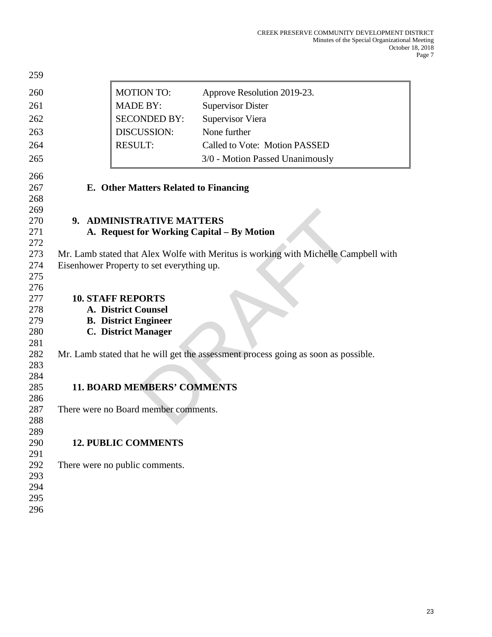| 259        |                                              |                                                                                     |
|------------|----------------------------------------------|-------------------------------------------------------------------------------------|
| 260        | <b>MOTION TO:</b>                            | Approve Resolution 2019-23.                                                         |
| 261        | <b>MADE BY:</b>                              | <b>Supervisor Dister</b>                                                            |
| 262        | <b>SECONDED BY:</b>                          | <b>Supervisor Viera</b>                                                             |
| 263        | DISCUSSION:                                  | None further                                                                        |
| 264        | <b>RESULT:</b>                               | Called to Vote: Motion PASSED                                                       |
| 265        |                                              | 3/0 - Motion Passed Unanimously                                                     |
|            |                                              |                                                                                     |
| 266        |                                              |                                                                                     |
| 267        | <b>E.</b> Other Matters Related to Financing |                                                                                     |
| 268        |                                              |                                                                                     |
| 269        |                                              |                                                                                     |
| 270<br>271 | 9. ADMINISTRATIVE MATTERS                    |                                                                                     |
| 272        |                                              | A. Request for Working Capital – By Motion                                          |
| 273        |                                              | Mr. Lamb stated that Alex Wolfe with Meritus is working with Michelle Campbell with |
| 274        | Eisenhower Property to set everything up.    |                                                                                     |
| 275        |                                              |                                                                                     |
| 276        |                                              |                                                                                     |
| 277        | <b>10. STAFF REPORTS</b>                     |                                                                                     |
| 278        | A. District Counsel                          |                                                                                     |
| 279        | <b>B.</b> District Engineer                  |                                                                                     |
| 280        | <b>C. District Manager</b>                   |                                                                                     |
| 281        |                                              |                                                                                     |
| 282        |                                              | Mr. Lamb stated that he will get the assessment process going as soon as possible.  |
| 283        |                                              |                                                                                     |
| 284        |                                              |                                                                                     |
| 285        | <b>11. BOARD MEMBERS' COMMENTS</b>           |                                                                                     |
| 286<br>287 | There were no Board member comments.         |                                                                                     |
| 288        |                                              |                                                                                     |
| 289        |                                              |                                                                                     |
| 290        | <b>12. PUBLIC COMMENTS</b>                   |                                                                                     |
| 291        |                                              |                                                                                     |
| 292        | There were no public comments.               |                                                                                     |
| 293        |                                              |                                                                                     |
| 294        |                                              |                                                                                     |
| 295        |                                              |                                                                                     |
| 296        |                                              |                                                                                     |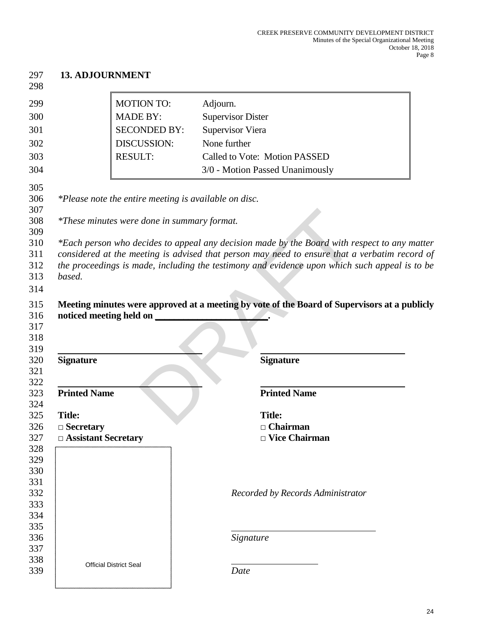| <b>13. ADJOURNMENT</b>                    |                                                       |                                                                                              |
|-------------------------------------------|-------------------------------------------------------|----------------------------------------------------------------------------------------------|
|                                           | <b>MOTION TO:</b>                                     | Adjourn.                                                                                     |
|                                           | <b>MADE BY:</b>                                       | <b>Supervisor Dister</b>                                                                     |
|                                           | <b>SECONDED BY:</b>                                   | <b>Supervisor Viera</b>                                                                      |
|                                           | DISCUSSION:                                           | None further                                                                                 |
|                                           | <b>RESULT:</b>                                        | Called to Vote: Motion PASSED                                                                |
|                                           |                                                       | 3/0 - Motion Passed Unanimously                                                              |
|                                           | *Please note the entire meeting is available on disc. |                                                                                              |
|                                           | *These minutes were done in summary format.           |                                                                                              |
|                                           |                                                       |                                                                                              |
| noticed meeting held on                   |                                                       | Meeting minutes were approved at a meeting by vote of the Board of Supervisors at a publicly |
| <b>Signature</b>                          |                                                       | <b>Signature</b>                                                                             |
| <b>Printed Name</b>                       |                                                       | <b>Printed Name</b>                                                                          |
|                                           |                                                       |                                                                                              |
| <b>Title:</b>                             |                                                       | <b>Title:</b>                                                                                |
| $\Box$ Secretary<br>□ Assistant Secretary |                                                       | $\Box$ Chairman<br>□ Vice Chairman                                                           |
|                                           |                                                       |                                                                                              |
|                                           |                                                       |                                                                                              |
|                                           |                                                       |                                                                                              |
|                                           |                                                       | Recorded by Records Administrator                                                            |
|                                           |                                                       |                                                                                              |
|                                           |                                                       |                                                                                              |
|                                           |                                                       |                                                                                              |
|                                           |                                                       | Signature                                                                                    |
| <b>Official District Seal</b>             |                                                       | Date                                                                                         |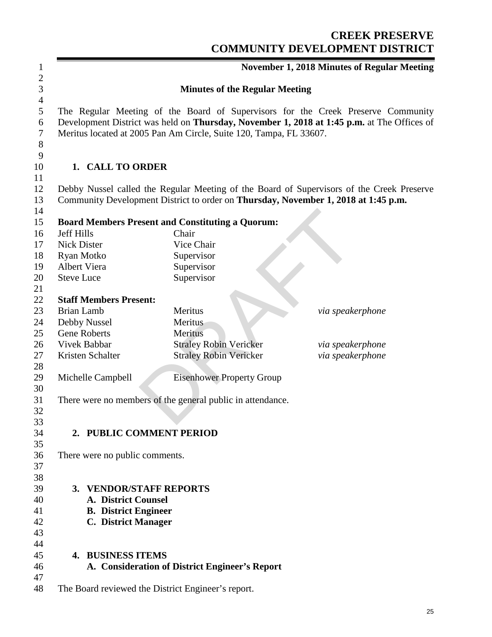# **CREEK PRESERVE COMMUNITY DEVELOPMENT DISTRICT**

|                                                        |                                                                                                      | <b>November 1, 2018 Minutes of Regular Meeting</b>                                                                                                                             |
|--------------------------------------------------------|------------------------------------------------------------------------------------------------------|--------------------------------------------------------------------------------------------------------------------------------------------------------------------------------|
|                                                        | <b>Minutes of the Regular Meeting</b>                                                                |                                                                                                                                                                                |
|                                                        | Meritus located at 2005 Pan Am Circle, Suite 120, Tampa, FL 33607.                                   | The Regular Meeting of the Board of Supervisors for the Creek Preserve Community<br>Development District was held on Thursday, November 1, 2018 at 1:45 p.m. at The Offices of |
| 1. CALL TO ORDER                                       |                                                                                                      |                                                                                                                                                                                |
|                                                        |                                                                                                      | Debby Nussel called the Regular Meeting of the Board of Supervisors of the Creek Preserve                                                                                      |
|                                                        | Community Development District to order on Thursday, November 1, 2018 at 1:45 p.m.                   |                                                                                                                                                                                |
|                                                        | <b>Board Members Present and Constituting a Quorum:</b>                                              |                                                                                                                                                                                |
| <b>Jeff Hills</b>                                      | Chair                                                                                                |                                                                                                                                                                                |
| <b>Nick Dister</b>                                     | Vice Chair                                                                                           |                                                                                                                                                                                |
| Ryan Motko                                             | Supervisor                                                                                           |                                                                                                                                                                                |
| Albert Viera                                           | Supervisor                                                                                           |                                                                                                                                                                                |
| <b>Steve Luce</b>                                      | Supervisor                                                                                           |                                                                                                                                                                                |
|                                                        |                                                                                                      |                                                                                                                                                                                |
| <b>Staff Members Present:</b>                          |                                                                                                      |                                                                                                                                                                                |
| <b>Brian Lamb</b>                                      | <b>Meritus</b>                                                                                       | via speakerphone                                                                                                                                                               |
| Debby Nussel                                           | Meritus                                                                                              |                                                                                                                                                                                |
| <b>Gene Roberts</b>                                    | Meritus                                                                                              |                                                                                                                                                                                |
| Vivek Babbar                                           | <b>Straley Robin Vericker</b>                                                                        | via speakerphone                                                                                                                                                               |
| Kristen Schalter                                       | <b>Straley Robin Vericker</b>                                                                        | via speakerphone                                                                                                                                                               |
| Michelle Campbell                                      | <b>Eisenhower Property Group</b>                                                                     |                                                                                                                                                                                |
|                                                        |                                                                                                      |                                                                                                                                                                                |
|                                                        | There were no members of the general public in attendance.                                           |                                                                                                                                                                                |
|                                                        |                                                                                                      |                                                                                                                                                                                |
|                                                        |                                                                                                      |                                                                                                                                                                                |
| 2. PUBLIC COMMENT PERIOD                               |                                                                                                      |                                                                                                                                                                                |
|                                                        |                                                                                                      |                                                                                                                                                                                |
| There were no public comments.                         |                                                                                                      |                                                                                                                                                                                |
|                                                        |                                                                                                      |                                                                                                                                                                                |
|                                                        |                                                                                                      |                                                                                                                                                                                |
| <b>VENDOR/STAFF REPORTS</b><br>3.                      |                                                                                                      |                                                                                                                                                                                |
| <b>A. District Counsel</b>                             |                                                                                                      |                                                                                                                                                                                |
| <b>B.</b> District Engineer                            |                                                                                                      |                                                                                                                                                                                |
|                                                        |                                                                                                      |                                                                                                                                                                                |
|                                                        |                                                                                                      |                                                                                                                                                                                |
|                                                        |                                                                                                      |                                                                                                                                                                                |
|                                                        |                                                                                                      |                                                                                                                                                                                |
|                                                        |                                                                                                      |                                                                                                                                                                                |
|                                                        |                                                                                                      |                                                                                                                                                                                |
| <b>C.</b> District Manager<br><b>4. BUSINESS ITEMS</b> | A. Consideration of District Engineer's Report<br>The Board reviewed the District Engineer's report. |                                                                                                                                                                                |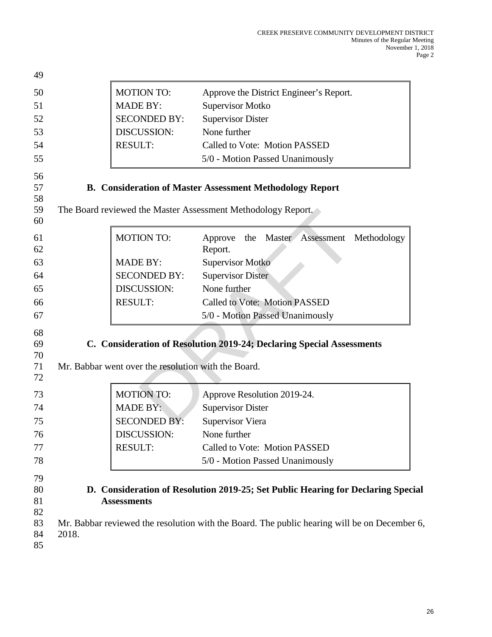| 49                                     |       |                                                     |                                                                                                                                                                                  |
|----------------------------------------|-------|-----------------------------------------------------|----------------------------------------------------------------------------------------------------------------------------------------------------------------------------------|
| 50                                     |       | <b>MOTION TO:</b>                                   | Approve the District Engineer's Report.                                                                                                                                          |
| 51                                     |       | <b>MADE BY:</b>                                     | <b>Supervisor Motko</b>                                                                                                                                                          |
| 52                                     |       | <b>SECONDED BY:</b>                                 | <b>Supervisor Dister</b>                                                                                                                                                         |
| 53                                     |       | <b>DISCUSSION:</b>                                  | None further                                                                                                                                                                     |
| 54                                     |       | <b>RESULT:</b>                                      | Called to Vote: Motion PASSED                                                                                                                                                    |
| 55                                     |       |                                                     | 5/0 - Motion Passed Unanimously                                                                                                                                                  |
| 56<br>57<br>58<br>59                   |       |                                                     | <b>B. Consideration of Master Assessment Methodology Report</b><br>The Board reviewed the Master Assessment Methodology Report.                                                  |
| 60                                     |       |                                                     |                                                                                                                                                                                  |
| 61<br>62                               |       | <b>MOTION TO:</b>                                   | Approve<br>the Master<br>Assessment<br>Methodology<br>Report.                                                                                                                    |
| 63                                     |       | <b>MADE BY:</b>                                     | <b>Supervisor Motko</b>                                                                                                                                                          |
| 64                                     |       | <b>SECONDED BY:</b>                                 | <b>Supervisor Dister</b>                                                                                                                                                         |
| 65                                     |       | DISCUSSION:                                         | None further                                                                                                                                                                     |
| 66                                     |       | <b>RESULT:</b>                                      | <b>Called to Vote: Motion PASSED</b>                                                                                                                                             |
| 67                                     |       |                                                     | 5/0 - Motion Passed Unanimously                                                                                                                                                  |
| 68<br>69<br>70                         |       |                                                     | C. Consideration of Resolution 2019-24; Declaring Special Assessments                                                                                                            |
| 71<br>72                               |       | Mr. Babbar went over the resolution with the Board. |                                                                                                                                                                                  |
| 73                                     |       | <b>MOTION TO:</b>                                   | Approve Resolution 2019-24.                                                                                                                                                      |
| 74                                     |       | <b>MADE BY:</b>                                     | <b>Supervisor Dister</b>                                                                                                                                                         |
| 75                                     |       | <b>SECONDED BY:</b>                                 | <b>Supervisor Viera</b>                                                                                                                                                          |
| 76                                     |       | DISCUSSION:                                         | None further                                                                                                                                                                     |
| 77                                     |       | <b>RESULT:</b>                                      | Called to Vote: Motion PASSED                                                                                                                                                    |
| 78                                     |       |                                                     | 5/0 - Motion Passed Unanimously                                                                                                                                                  |
| 79<br>80<br>81<br>82<br>83<br>84<br>85 | 2018. | <b>Assessments</b>                                  | D. Consideration of Resolution 2019-25; Set Public Hearing for Declaring Special<br>Mr. Babbar reviewed the resolution with the Board. The public hearing will be on December 6, |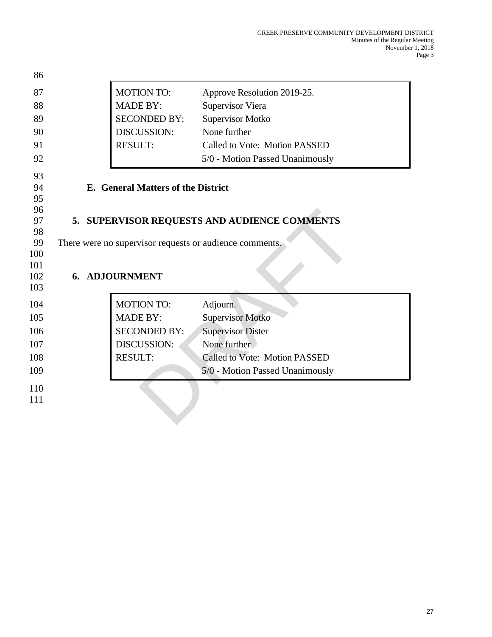| 86         |                                    |                                                         |
|------------|------------------------------------|---------------------------------------------------------|
| 87         | <b>MOTION TO:</b>                  | Approve Resolution 2019-25.                             |
| 88         | <b>MADE BY:</b>                    | <b>Supervisor Viera</b>                                 |
| 89         | <b>SECONDED BY:</b>                | Supervisor Motko                                        |
| 90         | <b>DISCUSSION:</b>                 | None further                                            |
| 91         | <b>RESULT:</b>                     | Called to Vote: Motion PASSED                           |
| 92         |                                    | 5/0 - Motion Passed Unanimously                         |
| 93         |                                    |                                                         |
| 94         | E. General Matters of the District |                                                         |
| 95<br>96   |                                    |                                                         |
| 97         |                                    | 5. SUPERVISOR REQUESTS AND AUDIENCE COMMENTS            |
| 98         |                                    |                                                         |
| 99         |                                    | There were no supervisor requests or audience comments. |
| 100        |                                    |                                                         |
| 101<br>102 | 6. ADJOURNMENT                     |                                                         |
| 103        |                                    |                                                         |
| 104        | <b>MOTION TO:</b>                  | Adjourn.                                                |
| 105        | <b>MADE BY:</b>                    | <b>Supervisor Motko</b>                                 |
| 106        | <b>SECONDED BY:</b>                | <b>Supervisor Dister</b>                                |
| 107        | <b>DISCUSSION:</b>                 | None further                                            |
| 108        | <b>RESULT:</b>                     | Called to Vote: Motion PASSED                           |
| 109        |                                    | 5/0 - Motion Passed Unanimously                         |
| 110        |                                    |                                                         |
| 111        |                                    |                                                         |
|            |                                    |                                                         |
|            |                                    |                                                         |